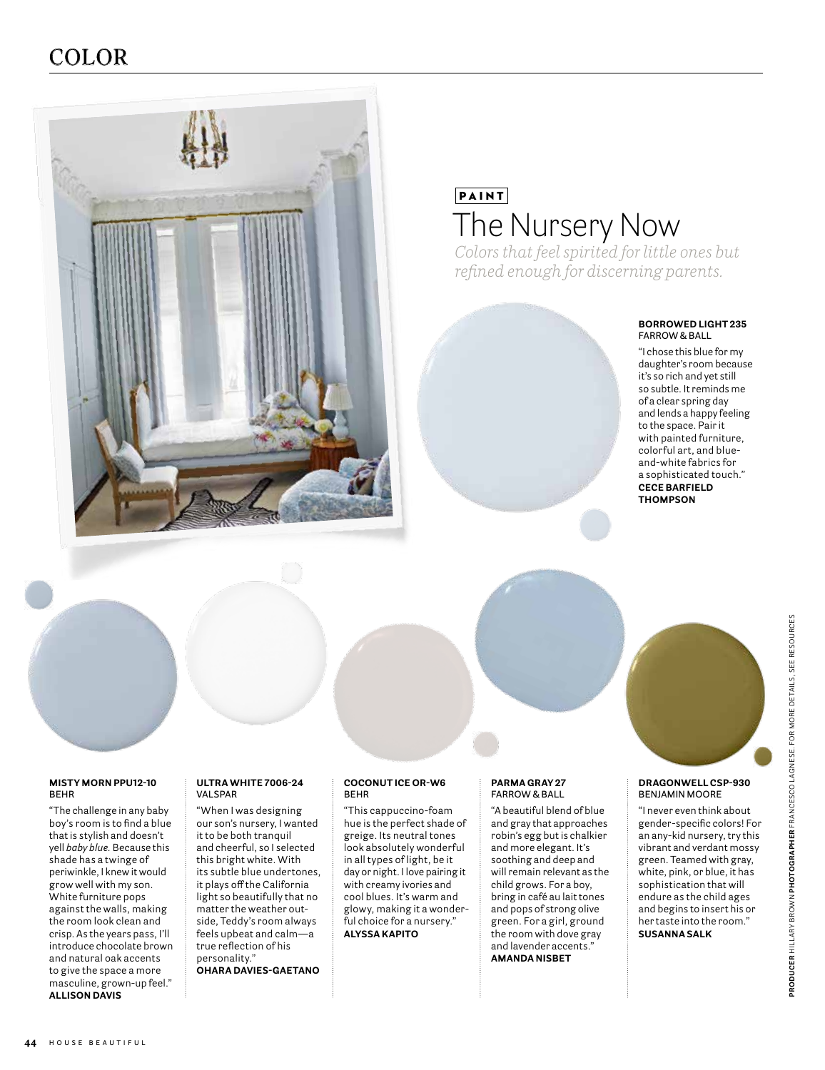## COLOR



# PAINT The Nursery Now

*Colors that feel spirited for little ones but refined enough for discerning parents.*

#### **BORROWED LIGHT 235 FARROW & BALL**

"I chose this blue for my daughter's room because it's so rich and yet still so subtle. It reminds me of a clear spring day and lends a happy feeling to the space. Pair it with painted furniture, colorful art, and blueand-white fabrics for a sophisticated touch." **CECE BARFIELD THOMPSON**



#### **DRAGONWELL CSP-930 BENJAMIN MOORE**

"I never even think about gender-specific colors! For an any-kid nursery, try this vibrant and verdant mossy green. Teamed with gray, white, pink, or blue, it has sophistication that will endure as the child ages and begins to insert his or her taste into the room." **SUSANNA SALK**

#### **MISTY MORN PPU12-10 BEHR**

"The challenge in any baby boy's room is to find a blue that is stylish and doesn't yell *baby blue.* Because this shade has a twinge of periwinkle, I knew it would grow well with my son. White furniture pops against the walls, making the room look clean and crisp. As the years pass, I'll introduce chocolate brown and natural oak accents to give the space a more masculine, grown-up feel." **ALLISON DAVIS**

#### **ULTRA WHITE 7006-24 VALSPAR**

"When I was designing our son's nursery, I wanted it to be both tranquil and cheerful, so I selected this bright white. With its subtle blue undertones, it plays off the California light so beautifully that no matter the weather outside, Teddy's room always feels upbeat and calm—a true reflection of his personality." **OHARA DAVIES-GAETANO**

### "This cappuccino-foam

**BEHR**

**COCONUT ICE OR-W6**

hue is the perfect shade of greige. Its neutral tones look absolutely wonderful in all types of light, be it day or night. I love pairing it with creamy ivories and cool blues. It's warm and glowy, making it a wonderful choice for a nursery." **ALYSSA KAPITO** 

#### **PARMA GRAY 27 FARROW & BALL**

"A beautiful blend of blue and gray that approaches robin's egg but is chalkier and more elegant. It's soothing and deep and will remain relevant as the child grows. For a boy, bring in café au lait tones and pops of strong olive green. For a girl, ground the room with dove gray and lavender accents." **AMANDA NISBET**